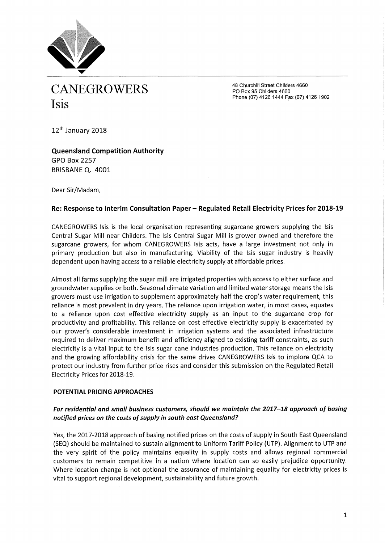

48 Churchill Street Childers 4660 PO Box 95 Childers 4660 Phone (07) 4126 1444 Fax (07) 4126 1902

12<sup>th</sup> January 2018

**Queensland Competition Authority**  GPO Box 2257 BRISBANE Q. 4001

Dear Sir/Madam,

# Re: Response to Interim Consultation Paper - Regulated Retail Electricity Prices for 2018-19

CANEGROWERS Isis is the local organisation representing sugarcane growers supplying the Isis Central Sugar Mill near Childers. The Isis Central Sugar Mill is grower owned and therefore the sugarcane growers, for whom CANEGROWERS Isis acts, have a large investment not only in primary production but also in manufacturing. Viability of the Isis sugar industry is heavily dependent upon having access to a reliable electricity supply at affordable prices.

Almost all farms supplying the sugar mill are irrigated properties with access to either surface and groundwater supplies or both. Seasonal climate variation and limited water storage means the Isis growers must use irrigation to supplement approximately half the crop's water requirement, this reliance is most prevalent in dry years. The reliance upon irrigation water, in most cases, equates to a reliance upon cost effective electricity supply as an input to the sugarcane crop for productivity and profitability. This reliance on cost effective electricity supply is exacerbated by our grower's considerable investment in irrigation systems and the associated infrastructure required to deliver maximum benefit and efficiency aligned to existing tariff constraints, as such electricity is a vital input to the Isis sugar cane industries production. This reliance on electricity and the growing affordability crisis for the same drives CANEGROWERS Isis to implore QCA to protect our industry from further price rises and consider this submission on the Regulated Retail Electricity Prices for 2018-19.

## **POTENTIAL PRICING APPROACHES**

# *For residential and small business customers, should we maintain the 2017-18 approach of basing notified prices on the costs of supply in south east Queensland?*

Yes, the 2017-2018 approach of basing notified prices on the costs of supply in South East Queensland (SEQ) should be maintained to sustain alignment to Uniform Tariff Policy (UTP). Alignment to UTP and the very spirit of the policy maintains equality in supply costs and allows regional commercial customers to remain competitive in a nation where location can so easily prejudice opportunity. Where location change is not optional the assurance of maintaining equality for electricity prices is vital to support regional development, sustainability and future growth.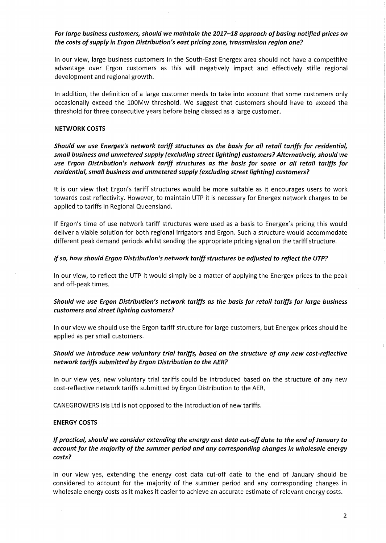# *For large business customers, should we maintain the 2017-18 approach of basing notified prices on the costs of supply in Ergon Distribution's east pricing zone, transmission region one?*

In our view, large business customers in the South-East Energex area should not have a competitive advantage over Ergon customers as this will negatively impact and effectively stifle regional development and regional growth.

In addition, the definition of a large customer needs to take into account that some customers only occasionally exceed the 100Mw threshold. We suggest that customers should have to exceed the threshold for three consecutive years before being classed as a large customer.

### **NETWORK COSTS**

*Should we use Energex's network tariff structures as the basis for all retail tariffs for residential, small business and unmetered supply (excluding street lighting) customers? Alternatively, should we use Ergon Distribution's network tariff structures as the basis for some or all retail tariffs for residential, small business and unmetered supply (excluding street lighting) customers?* 

It is our view that Ergon's tariff structures would be more suitable as it encourages users to work towards cost reflectivity. However, to maintain UTP it is necessary for Energex network charges to be applied to tariffs in Regional Queensland.

If Ergon's time of use network tariff structures were used as a basis to Energex's pricing this would deliver a viable solution for both regional irrigators and Ergon. Such a structure would accommodate different peak demand periods whilst sending the appropriate pricing signal on the tariff structure.

### *If so, how should Ergon Distribution's network tariff structures be adjusted to reflect the UTP?*

In our view, to reflect the UTP it would simply be a matter of applying the Energex prices to the peak and off-peak times.

# *Should we use Ergon Distribution's network tariffs as the basis for retail tariffs for large business customers and street lighting customers?*

In our view we should use the Ergon tariff structure for large customers, but Energex prices should be applied as per small customers.

# *Should we introduce new voluntary trial tariffs, based on the structure of any new cost-reflective network tariffs submitted by Ergon Distribution to the AER?*

In our view yes, new voluntary trial tariffs could be introduced based on the structure of any new cost-reflective network tariffs submitted by Ergon Distribution to the AER.

CANEGROWERS Isis Ltd is not opposed to the introduction of new tariffs.

#### **ENERGY COSTS**

# *If practical, should we consider extending the energy cost data cut-off date to the end of January to account for the majority of the summer period and any corresponding changes in wholesale energy costs?*

In our view yes, extending the energy cost data cut-off date to the end of January should be considered to account for the majority of the summer period and any corresponding changes in wholesale energy costs as it makes it easier to achieve an accurate estimate of relevant energy costs.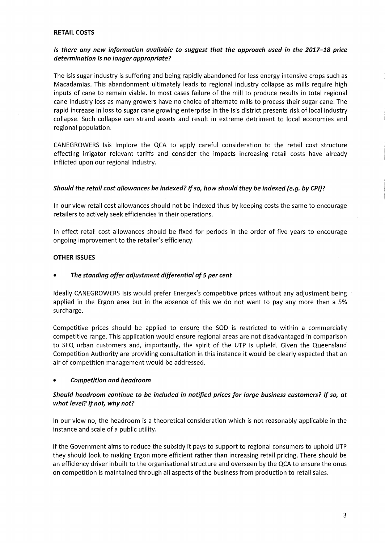### **RETAIL COSTS**

# *Is there any new information available to suggest that the approach used in the 2017-18 price determination is no longer appropriate?*

The Isis sugar industry is suffering and being rapidly abandoned for less energy intensive crops such as Macadamias. This abandonment ultimately leads to regional industry collapse as mills require high inputs of cane to remain viable. In most cases failure of the mill to produce results in total regional cane industry loss as many growers have no choice of alternate mills to process their sugar cane. The rapid increase in loss to sugar cane growing enterprise in the Isis district presents risk of local industry collapse. Such collapse can strand assets and result in extreme detriment to local economies and regional population.

CANEGROWERS Isis Implore the QCA to apply careful consideration to the retail cost structure effecting irrigator relevant tariffs and consider the impacts increasing retail costs have already inflicted upon our regional industry.

## *Should the retail cost allowances be indexed? If so, how should they be indexed (e.g. by CPI}?*

In our view retail cost allowances should not be indexed thus by keeping costs the same to encourage retailers to actively seek efficiencies in their operations.

In effect retail cost allowances should be fixed for periods in the order of five years to encourage ongoing improvement to the retailer's efficiency.

### **OTHER ISSUES**

## • *The standing offer adjustment differential of 5 per cent*

Ideally CANEGROWERS Isis would prefer Energex's competitive prices without any adjustment being applied in the Ergon area but in the absence of this we do not want to pay any more than a 5% surcharge.

Competitive prices should be applied to ensure the SOD is restricted to within a commercially competitive range. This application would ensure regional areas are not disadvantaged in comparison to SEQ urban customers and, importantly, the spirit of the UTP is upheld. Given the Queensland Competition Authority are providing consultation in this instance it would be clearly expected that an air of competition management would be addressed.

#### • *Competition and headroom*

## *Should headroom continue to be included in notified prices for large business customers? If so, at what level? If not, why not?*

In our view no, the headroom is a theoretical consideration which is not reasonably applicable in the instance and scale of a public utility.

If the Government aims to reduce the subsidy it pays to support to regional consumers to uphold UTP they should look to making Ergon more efficient rather than increasing retail pricing. There should be an efficiency driver inbuilt to the organisational structure and overseen by the QCA to ensure the onus on competition is maintained through all aspects of the business from production to retail sales.

3